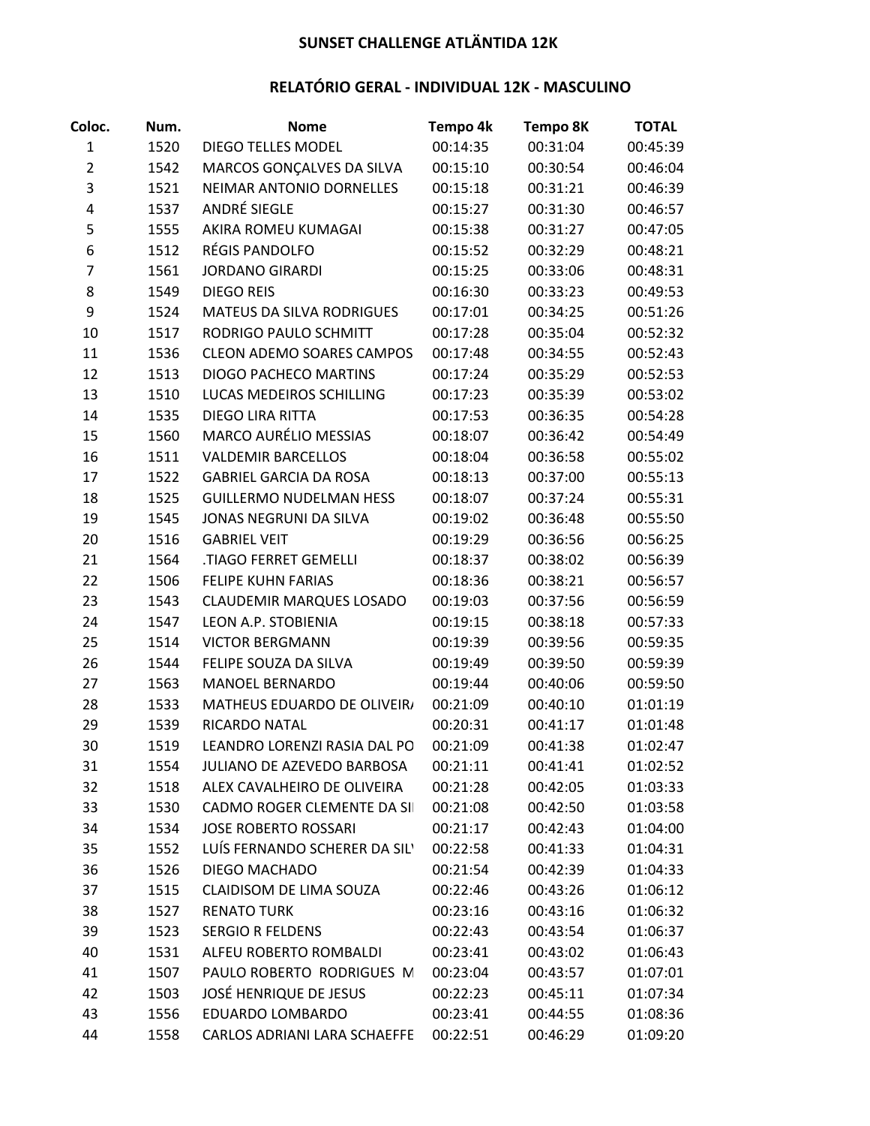## **SUNSET CHALLENGE ATLÄNTIDA 12K**

## **RELATÓRIO GERAL - INDIVIDUAL 12K - MASCULINO**

| Coloc.         | Num. | <b>Nome</b>                      | Tempo 4k | <b>Tempo 8K</b> | <b>TOTAL</b> |
|----------------|------|----------------------------------|----------|-----------------|--------------|
| $\mathbf{1}$   | 1520 | <b>DIEGO TELLES MODEL</b>        | 00:14:35 | 00:31:04        | 00:45:39     |
| $\overline{2}$ | 1542 | MARCOS GONÇALVES DA SILVA        | 00:15:10 | 00:30:54        | 00:46:04     |
| 3              | 1521 | <b>NEIMAR ANTONIO DORNELLES</b>  | 00:15:18 | 00:31:21        | 00:46:39     |
| 4              | 1537 | ANDRÉ SIEGLE                     | 00:15:27 | 00:31:30        | 00:46:57     |
| 5              | 1555 | AKIRA ROMEU KUMAGAI              | 00:15:38 | 00:31:27        | 00:47:05     |
| 6              | 1512 | RÉGIS PANDOLFO                   | 00:15:52 | 00:32:29        | 00:48:21     |
| 7              | 1561 | <b>JORDANO GIRARDI</b>           | 00:15:25 | 00:33:06        | 00:48:31     |
| 8              | 1549 | <b>DIEGO REIS</b>                | 00:16:30 | 00:33:23        | 00:49:53     |
| 9              | 1524 | MATEUS DA SILVA RODRIGUES        | 00:17:01 | 00:34:25        | 00:51:26     |
| 10             | 1517 | RODRIGO PAULO SCHMITT            | 00:17:28 | 00:35:04        | 00:52:32     |
| 11             | 1536 | <b>CLEON ADEMO SOARES CAMPOS</b> | 00:17:48 | 00:34:55        | 00:52:43     |
| 12             | 1513 | <b>DIOGO PACHECO MARTINS</b>     | 00:17:24 | 00:35:29        | 00:52:53     |
| 13             | 1510 | LUCAS MEDEIROS SCHILLING         | 00:17:23 | 00:35:39        | 00:53:02     |
| 14             | 1535 | <b>DIEGO LIRA RITTA</b>          | 00:17:53 | 00:36:35        | 00:54:28     |
| 15             | 1560 | <b>MARCO AURÉLIO MESSIAS</b>     | 00:18:07 | 00:36:42        | 00:54:49     |
| 16             | 1511 | <b>VALDEMIR BARCELLOS</b>        | 00:18:04 | 00:36:58        | 00:55:02     |
| 17             | 1522 | <b>GABRIEL GARCIA DA ROSA</b>    | 00:18:13 | 00:37:00        | 00:55:13     |
| 18             | 1525 | <b>GUILLERMO NUDELMAN HESS</b>   | 00:18:07 | 00:37:24        | 00:55:31     |
| 19             | 1545 | JONAS NEGRUNI DA SILVA           | 00:19:02 | 00:36:48        | 00:55:50     |
| 20             | 1516 | <b>GABRIEL VEIT</b>              | 00:19:29 | 00:36:56        | 00:56:25     |
| 21             | 1564 | .TIAGO FERRET GEMELLI            | 00:18:37 | 00:38:02        | 00:56:39     |
| 22             | 1506 | <b>FELIPE KUHN FARIAS</b>        | 00:18:36 | 00:38:21        | 00:56:57     |
| 23             | 1543 | <b>CLAUDEMIR MARQUES LOSADO</b>  | 00:19:03 | 00:37:56        | 00:56:59     |
| 24             | 1547 | LEON A.P. STOBIENIA              | 00:19:15 | 00:38:18        | 00:57:33     |
| 25             | 1514 | <b>VICTOR BERGMANN</b>           | 00:19:39 | 00:39:56        | 00:59:35     |
| 26             | 1544 | FELIPE SOUZA DA SILVA            | 00:19:49 | 00:39:50        | 00:59:39     |
| 27             | 1563 | <b>MANOEL BERNARDO</b>           | 00:19:44 | 00:40:06        | 00:59:50     |
| 28             | 1533 | MATHEUS EDUARDO DE OLIVEIR/      | 00:21:09 | 00:40:10        | 01:01:19     |
| 29             | 1539 | RICARDO NATAL                    | 00:20:31 | 00:41:17        | 01:01:48     |
| 30             | 1519 | LEANDRO LORENZI RASIA DAL PO     | 00:21:09 | 00:41:38        | 01:02:47     |
| 31             | 1554 | JULIANO DE AZEVEDO BARBOSA       | 00:21:11 | 00:41:41        | 01:02:52     |
| 32             | 1518 | ALEX CAVALHEIRO DE OLIVEIRA      | 00:21:28 | 00:42:05        | 01:03:33     |
| 33             | 1530 | CADMO ROGER CLEMENTE DA SI       | 00:21:08 | 00:42:50        | 01:03:58     |
| 34             | 1534 | <b>JOSE ROBERTO ROSSARI</b>      | 00:21:17 | 00:42:43        | 01:04:00     |
| 35             | 1552 | LUÍS FERNANDO SCHERER DA SIL'    | 00:22:58 | 00:41:33        | 01:04:31     |
| 36             | 1526 | <b>DIEGO MACHADO</b>             | 00:21:54 | 00:42:39        | 01:04:33     |
| 37             | 1515 | <b>CLAIDISOM DE LIMA SOUZA</b>   | 00:22:46 | 00:43:26        | 01:06:12     |
| 38             | 1527 | <b>RENATO TURK</b>               | 00:23:16 | 00:43:16        | 01:06:32     |
| 39             | 1523 | <b>SERGIO R FELDENS</b>          | 00:22:43 | 00:43:54        | 01:06:37     |
| 40             | 1531 | ALFEU ROBERTO ROMBALDI           | 00:23:41 | 00:43:02        | 01:06:43     |
| 41             | 1507 | PAULO ROBERTO RODRIGUES M        | 00:23:04 | 00:43:57        | 01:07:01     |
| 42             | 1503 | <b>JOSÉ HENRIQUE DE JESUS</b>    | 00:22:23 | 00:45:11        | 01:07:34     |
| 43             | 1556 | EDUARDO LOMBARDO                 | 00:23:41 | 00:44:55        | 01:08:36     |
| 44             | 1558 | CARLOS ADRIANI LARA SCHAEFFE     | 00:22:51 | 00:46:29        | 01:09:20     |